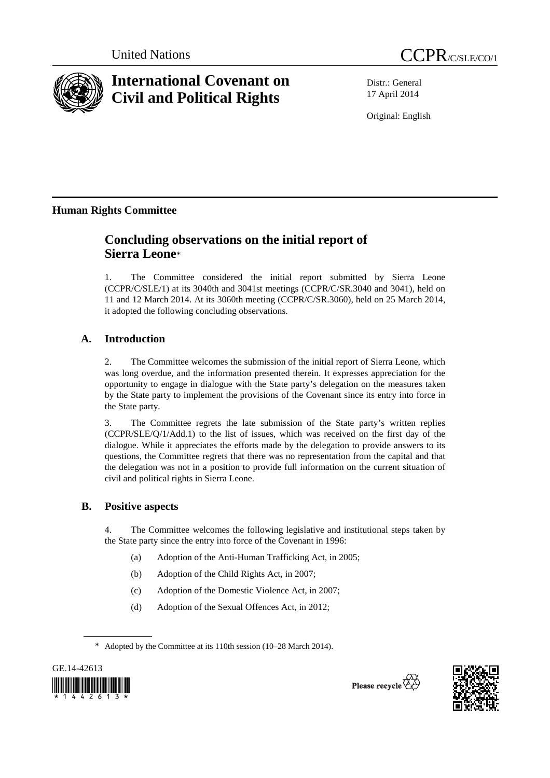



# **International Covenant on Civil and Political Rights**

Distr.: General 17 April 2014

Original: English

# **Human Rights Committee**

# **Concluding observations on the initial report of Sierra Leone**\*

1. The Committee considered the initial report submitted by Sierra Leone (CCPR/C/SLE/1) at its 3040th and 3041st meetings (CCPR/C/SR.3040 and 3041), held on 11 and 12 March 2014. At its 3060th meeting (CCPR/C/SR.3060), held on 25 March 2014, it adopted the following concluding observations.

## **A. Introduction**

2. The Committee welcomes the submission of the initial report of Sierra Leone, which was long overdue, and the information presented therein. It expresses appreciation for the opportunity to engage in dialogue with the State party's delegation on the measures taken by the State party to implement the provisions of the Covenant since its entry into force in the State party.

3. The Committee regrets the late submission of the State party's written replies (CCPR/SLE/Q/1/Add.1) to the list of issues, which was received on the first day of the dialogue. While it appreciates the efforts made by the delegation to provide answers to its questions, the Committee regrets that there was no representation from the capital and that the delegation was not in a position to provide full information on the current situation of civil and political rights in Sierra Leone.

## **B. Positive aspects**

4. The Committee welcomes the following legislative and institutional steps taken by the State party since the entry into force of the Covenant in 1996:

- (a) Adoption of the Anti-Human Trafficking Act, in 2005;
- (b) Adoption of the Child Rights Act, in 2007;
- (c) Adoption of the Domestic Violence Act, in 2007;
- (d) Adoption of the Sexual Offences Act, in 2012;

<sup>\*</sup> Adopted by the Committee at its 110th session (10–28 March 2014).





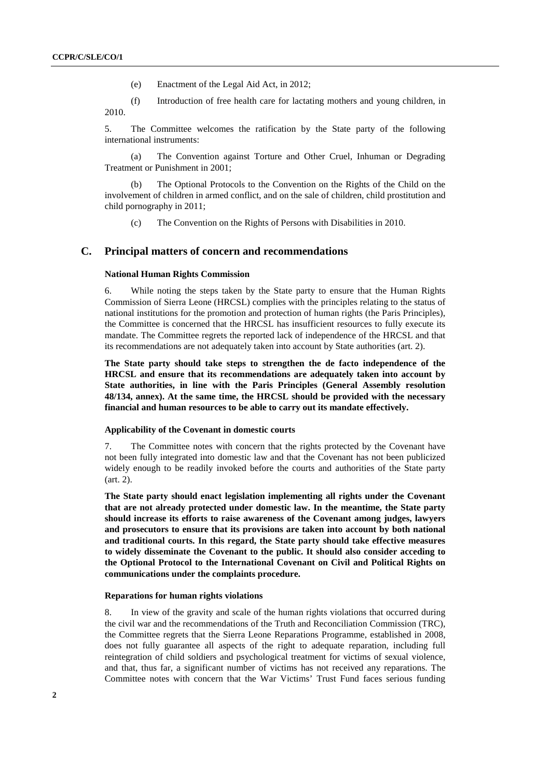- (e) Enactment of the Legal Aid Act, in 2012;
- (f) Introduction of free health care for lactating mothers and young children, in 2010.

5. The Committee welcomes the ratification by the State party of the following international instruments:

 (a) The Convention against Torture and Other Cruel, Inhuman or Degrading Treatment or Punishment in 2001;

The Optional Protocols to the Convention on the Rights of the Child on the involvement of children in armed conflict, and on the sale of children, child prostitution and child pornography in 2011;

(c) The Convention on the Rights of Persons with Disabilities in 2010.

#### **C. Principal matters of concern and recommendations**

#### **National Human Rights Commission**

6. While noting the steps taken by the State party to ensure that the Human Rights Commission of Sierra Leone (HRCSL) complies with the principles relating to the status of national institutions for the promotion and protection of human rights (the Paris Principles), the Committee is concerned that the HRCSL has insufficient resources to fully execute its mandate. The Committee regrets the reported lack of independence of the HRCSL and that its recommendations are not adequately taken into account by State authorities (art. 2).

**The State party should take steps to strengthen the de facto independence of the HRCSL and ensure that its recommendations are adequately taken into account by State authorities, in line with the Paris Principles (General Assembly resolution 48/134, annex). At the same time, the HRCSL should be provided with the necessary financial and human resources to be able to carry out its mandate effectively.** 

#### **Applicability of the Covenant in domestic courts**

7. The Committee notes with concern that the rights protected by the Covenant have not been fully integrated into domestic law and that the Covenant has not been publicized widely enough to be readily invoked before the courts and authorities of the State party (art. 2).

**The State party should enact legislation implementing all rights under the Covenant that are not already protected under domestic law. In the meantime, the State party should increase its efforts to raise awareness of the Covenant among judges, lawyers and prosecutors to ensure that its provisions are taken into account by both national and traditional courts. In this regard, the State party should take effective measures to widely disseminate the Covenant to the public. It should also consider acceding to the Optional Protocol to the International Covenant on Civil and Political Rights on communications under the complaints procedure.** 

#### **Reparations for human rights violations**

8. In view of the gravity and scale of the human rights violations that occurred during the civil war and the recommendations of the Truth and Reconciliation Commission (TRC), the Committee regrets that the Sierra Leone Reparations Programme, established in 2008, does not fully guarantee all aspects of the right to adequate reparation, including full reintegration of child soldiers and psychological treatment for victims of sexual violence, and that, thus far, a significant number of victims has not received any reparations. The Committee notes with concern that the War Victims' Trust Fund faces serious funding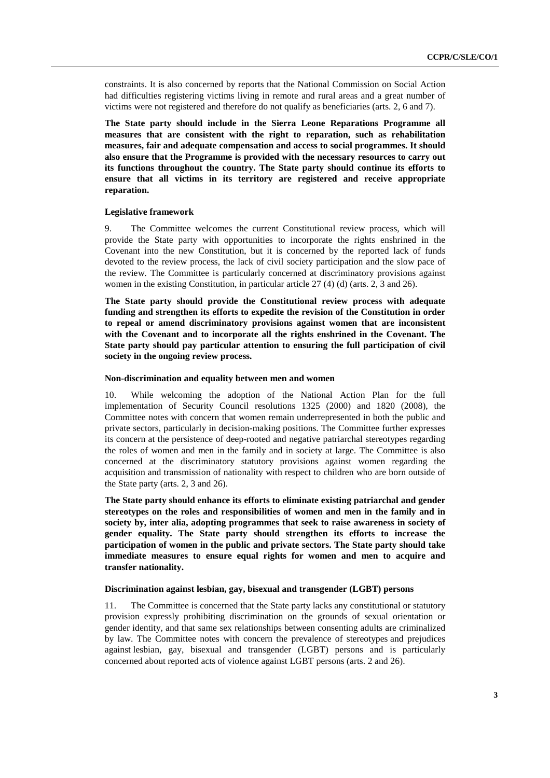constraints. It is also concerned by reports that the National Commission on Social Action had difficulties registering victims living in remote and rural areas and a great number of victims were not registered and therefore do not qualify as beneficiaries (arts. 2, 6 and 7).

**The State party should include in the Sierra Leone Reparations Programme all measures that are consistent with the right to reparation, such as rehabilitation measures, fair and adequate compensation and access to social programmes. It should also ensure that the Programme is provided with the necessary resources to carry out its functions throughout the country. The State party should continue its efforts to ensure that all victims in its territory are registered and receive appropriate reparation.** 

#### **Legislative framework**

9. The Committee welcomes the current Constitutional review process, which will provide the State party with opportunities to incorporate the rights enshrined in the Covenant into the new Constitution, but it is concerned by the reported lack of funds devoted to the review process, the lack of civil society participation and the slow pace of the review. The Committee is particularly concerned at discriminatory provisions against women in the existing Constitution, in particular article 27 (4) (d) (arts. 2, 3 and 26).

**The State party should provide the Constitutional review process with adequate funding and strengthen its efforts to expedite the revision of the Constitution in order to repeal or amend discriminatory provisions against women that are inconsistent with the Covenant and to incorporate all the rights enshrined in the Covenant. The State party should pay particular attention to ensuring the full participation of civil society in the ongoing review process.** 

#### **Non-discrimination and equality between men and women**

10. While welcoming the adoption of the National Action Plan for the full implementation of Security Council resolutions 1325 (2000) and 1820 (2008), the Committee notes with concern that women remain underrepresented in both the public and private sectors, particularly in decision-making positions. The Committee further expresses its concern at the persistence of deep-rooted and negative patriarchal stereotypes regarding the roles of women and men in the family and in society at large. The Committee is also concerned at the discriminatory statutory provisions against women regarding the acquisition and transmission of nationality with respect to children who are born outside of the State party (arts. 2, 3 and 26).

**The State party should enhance its efforts to eliminate existing patriarchal and gender stereotypes on the roles and responsibilities of women and men in the family and in society by, inter alia, adopting programmes that seek to raise awareness in society of gender equality. The State party should strengthen its efforts to increase the participation of women in the public and private sectors. The State party should take immediate measures to ensure equal rights for women and men to acquire and transfer nationality.** 

#### **Discrimination against lesbian, gay, bisexual and transgender (LGBT) persons**

11. The Committee is concerned that the State party lacks any constitutional or statutory provision expressly prohibiting discrimination on the grounds of sexual orientation or gender identity, and that same sex relationships between consenting adults are criminalized by law. The Committee notes with concern the prevalence of stereotypes and prejudices against lesbian, gay, bisexual and transgender (LGBT) persons and is particularly concerned about reported acts of violence against LGBT persons (arts. 2 and 26).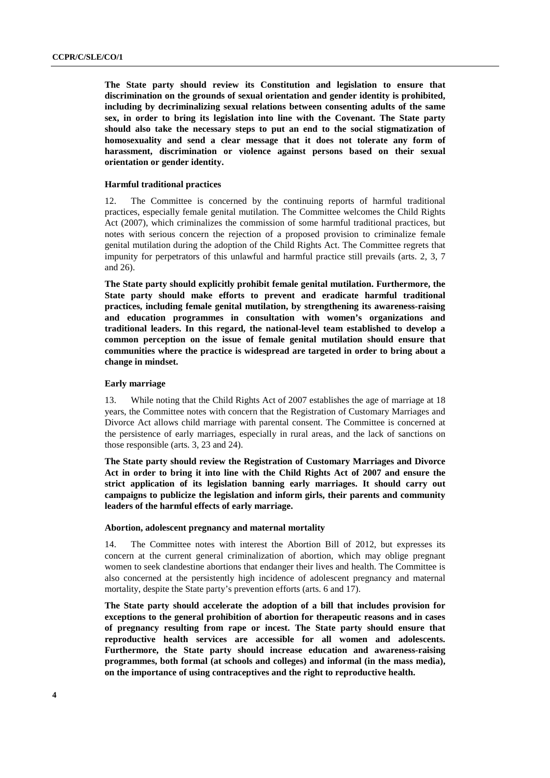**The State party should review its Constitution and legislation to ensure that discrimination on the grounds of sexual orientation and gender identity is prohibited, including by decriminalizing sexual relations between consenting adults of the same sex, in order to bring its legislation into line with the Covenant. The State party should also take the necessary steps to put an end to the social stigmatization of homosexuality and send a clear message that it does not tolerate any form of harassment, discrimination or violence against persons based on their sexual orientation or gender identity.** 

#### **Harmful traditional practices**

12. The Committee is concerned by the continuing reports of harmful traditional practices, especially female genital mutilation. The Committee welcomes the Child Rights Act (2007), which criminalizes the commission of some harmful traditional practices, but notes with serious concern the rejection of a proposed provision to criminalize female genital mutilation during the adoption of the Child Rights Act. The Committee regrets that impunity for perpetrators of this unlawful and harmful practice still prevails (arts. 2, 3, 7 and 26).

**The State party should explicitly prohibit female genital mutilation. Furthermore, the State party should make efforts to prevent and eradicate harmful traditional practices, including female genital mutilation, by strengthening its awareness-raising and education programmes in consultation with women's organizations and traditional leaders. In this regard, the national-level team established to develop a common perception on the issue of female genital mutilation should ensure that communities where the practice is widespread are targeted in order to bring about a change in mindset.** 

#### **Early marriage**

13. While noting that the Child Rights Act of 2007 establishes the age of marriage at 18 years, the Committee notes with concern that the Registration of Customary Marriages and Divorce Act allows child marriage with parental consent. The Committee is concerned at the persistence of early marriages, especially in rural areas, and the lack of sanctions on those responsible (arts. 3, 23 and 24).

**The State party should review the Registration of Customary Marriages and Divorce Act in order to bring it into line with the Child Rights Act of 2007 and ensure the strict application of its legislation banning early marriages. It should carry out campaigns to publicize the legislation and inform girls, their parents and community leaders of the harmful effects of early marriage.** 

#### **Abortion, adolescent pregnancy and maternal mortality**

14. The Committee notes with interest the Abortion Bill of 2012, but expresses its concern at the current general criminalization of abortion, which may oblige pregnant women to seek clandestine abortions that endanger their lives and health. The Committee is also concerned at the persistently high incidence of adolescent pregnancy and maternal mortality, despite the State party's prevention efforts (arts. 6 and 17).

**The State party should accelerate the adoption of a bill that includes provision for exceptions to the general prohibition of abortion for therapeutic reasons and in cases of pregnancy resulting from rape or incest. The State party should ensure that reproductive health services are accessible for all women and adolescents. Furthermore, the State party should increase education and awareness-raising programmes, both formal (at schools and colleges) and informal (in the mass media), on the importance of using contraceptives and the right to reproductive health.**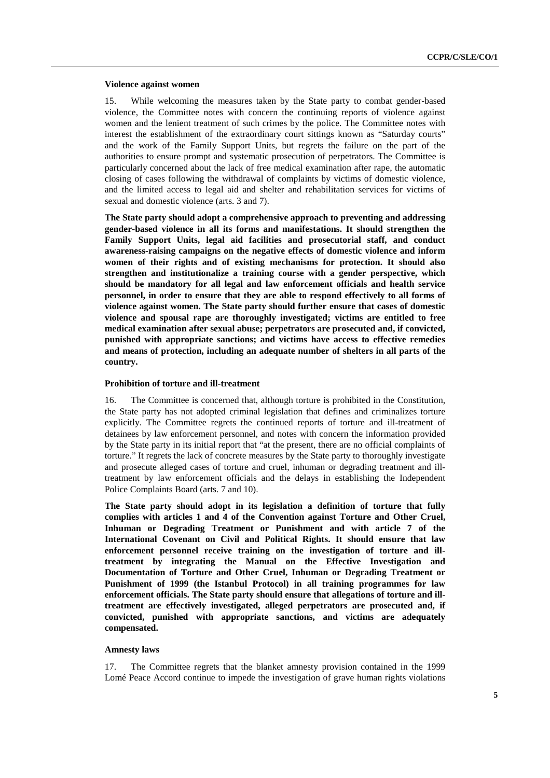#### **Violence against women**

15. While welcoming the measures taken by the State party to combat gender-based violence, the Committee notes with concern the continuing reports of violence against women and the lenient treatment of such crimes by the police. The Committee notes with interest the establishment of the extraordinary court sittings known as "Saturday courts" and the work of the Family Support Units, but regrets the failure on the part of the authorities to ensure prompt and systematic prosecution of perpetrators. The Committee is particularly concerned about the lack of free medical examination after rape, the automatic closing of cases following the withdrawal of complaints by victims of domestic violence, and the limited access to legal aid and shelter and rehabilitation services for victims of sexual and domestic violence (arts. 3 and 7).

**The State party should adopt a comprehensive approach to preventing and addressing gender-based violence in all its forms and manifestations. It should strengthen the Family Support Units, legal aid facilities and prosecutorial staff, and conduct awareness-raising campaigns on the negative effects of domestic violence and inform women of their rights and of existing mechanisms for protection. It should also strengthen and institutionalize a training course with a gender perspective, which should be mandatory for all legal and law enforcement officials and health service personnel, in order to ensure that they are able to respond effectively to all forms of violence against women. The State party should further ensure that cases of domestic violence and spousal rape are thoroughly investigated; victims are entitled to free medical examination after sexual abuse; perpetrators are prosecuted and, if convicted, punished with appropriate sanctions; and victims have access to effective remedies and means of protection, including an adequate number of shelters in all parts of the country.** 

#### **Prohibition of torture and ill-treatment**

16. The Committee is concerned that, although torture is prohibited in the Constitution, the State party has not adopted criminal legislation that defines and criminalizes torture explicitly. The Committee regrets the continued reports of torture and ill-treatment of detainees by law enforcement personnel, and notes with concern the information provided by the State party in its initial report that "at the present, there are no official complaints of torture." It regrets the lack of concrete measures by the State party to thoroughly investigate and prosecute alleged cases of torture and cruel, inhuman or degrading treatment and illtreatment by law enforcement officials and the delays in establishing the Independent Police Complaints Board (arts. 7 and 10).

**The State party should adopt in its legislation a definition of torture that fully complies with articles 1 and 4 of the Convention against Torture and Other Cruel, Inhuman or Degrading Treatment or Punishment and with article 7 of the International Covenant on Civil and Political Rights. It should ensure that law enforcement personnel receive training on the investigation of torture and illtreatment by integrating the Manual on the Effective Investigation and Documentation of Torture and Other Cruel, Inhuman or Degrading Treatment or Punishment of 1999 (the Istanbul Protocol) in all training programmes for law enforcement officials. The State party should ensure that allegations of torture and illtreatment are effectively investigated, alleged perpetrators are prosecuted and, if convicted, punished with appropriate sanctions, and victims are adequately compensated.** 

#### **Amnesty laws**

17. The Committee regrets that the blanket amnesty provision contained in the 1999 Lomé Peace Accord continue to impede the investigation of grave human rights violations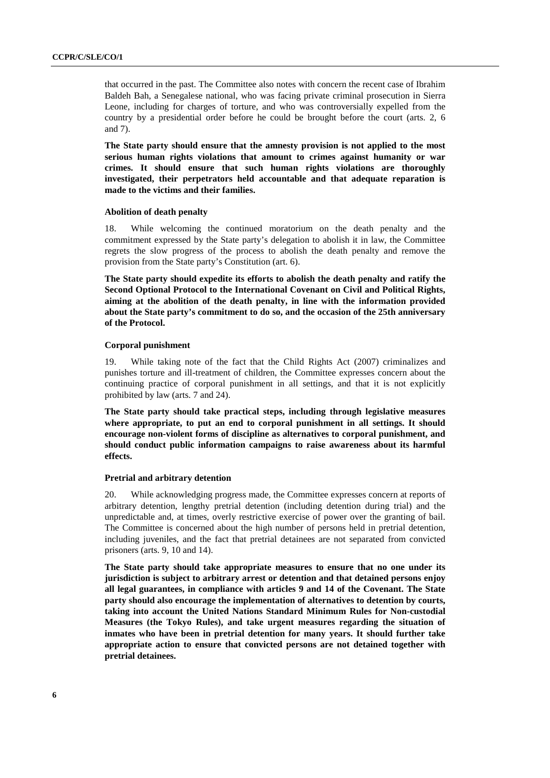that occurred in the past. The Committee also notes with concern the recent case of Ibrahim Baldeh Bah, a Senegalese national, who was facing private criminal prosecution in Sierra Leone, including for charges of torture, and who was controversially expelled from the country by a presidential order before he could be brought before the court (arts. 2, 6 and 7).

**The State party should ensure that the amnesty provision is not applied to the most serious human rights violations that amount to crimes against humanity or war crimes. It should ensure that such human rights violations are thoroughly investigated, their perpetrators held accountable and that adequate reparation is made to the victims and their families.** 

#### **Abolition of death penalty**

18. While welcoming the continued moratorium on the death penalty and the commitment expressed by the State party's delegation to abolish it in law, the Committee regrets the slow progress of the process to abolish the death penalty and remove the provision from the State party's Constitution (art. 6).

**The State party should expedite its efforts to abolish the death penalty and ratify the Second Optional Protocol to the International Covenant on Civil and Political Rights, aiming at the abolition of the death penalty, in line with the information provided about the State party's commitment to do so, and the occasion of the 25th anniversary of the Protocol.** 

#### **Corporal punishment**

19. While taking note of the fact that the Child Rights Act (2007) criminalizes and punishes torture and ill-treatment of children, the Committee expresses concern about the continuing practice of corporal punishment in all settings, and that it is not explicitly prohibited by law (arts. 7 and 24).

**The State party should take practical steps, including through legislative measures where appropriate, to put an end to corporal punishment in all settings. It should encourage non-violent forms of discipline as alternatives to corporal punishment, and should conduct public information campaigns to raise awareness about its harmful effects.** 

#### **Pretrial and arbitrary detention**

20. While acknowledging progress made, the Committee expresses concern at reports of arbitrary detention, lengthy pretrial detention (including detention during trial) and the unpredictable and, at times, overly restrictive exercise of power over the granting of bail. The Committee is concerned about the high number of persons held in pretrial detention, including juveniles, and the fact that pretrial detainees are not separated from convicted prisoners (arts. 9, 10 and 14).

**The State party should take appropriate measures to ensure that no one under its jurisdiction is subject to arbitrary arrest or detention and that detained persons enjoy all legal guarantees, in compliance with articles 9 and 14 of the Covenant. The State party should also encourage the implementation of alternatives to detention by courts, taking into account the United Nations Standard Minimum Rules for Non-custodial Measures (the Tokyo Rules), and take urgent measures regarding the situation of inmates who have been in pretrial detention for many years. It should further take appropriate action to ensure that convicted persons are not detained together with pretrial detainees.**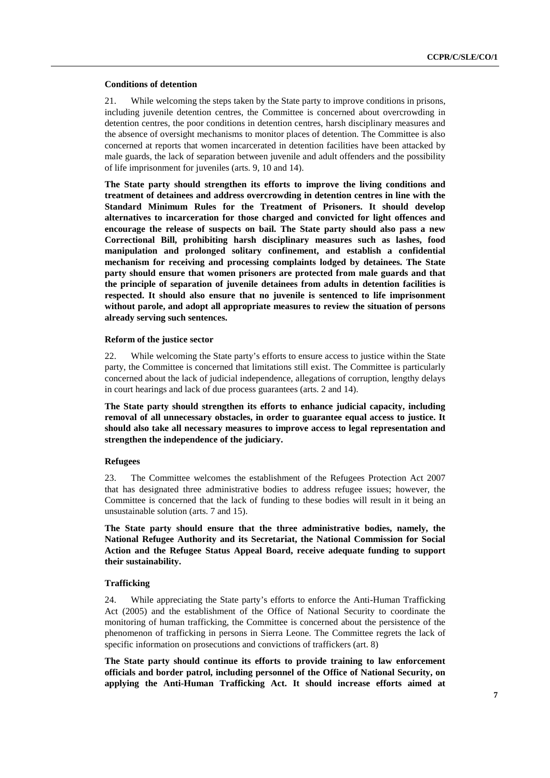#### **Conditions of detention**

21. While welcoming the steps taken by the State party to improve conditions in prisons, including juvenile detention centres, the Committee is concerned about overcrowding in detention centres, the poor conditions in detention centres, harsh disciplinary measures and the absence of oversight mechanisms to monitor places of detention. The Committee is also concerned at reports that women incarcerated in detention facilities have been attacked by male guards, the lack of separation between juvenile and adult offenders and the possibility of life imprisonment for juveniles (arts. 9, 10 and 14).

**The State party should strengthen its efforts to improve the living conditions and treatment of detainees and address overcrowding in detention centres in line with the Standard Minimum Rules for the Treatment of Prisoners. It should develop alternatives to incarceration for those charged and convicted for light offences and encourage the release of suspects on bail. The State party should also pass a new Correctional Bill, prohibiting harsh disciplinary measures such as lashes, food manipulation and prolonged solitary confinement, and establish a confidential mechanism for receiving and processing complaints lodged by detainees. The State party should ensure that women prisoners are protected from male guards and that the principle of separation of juvenile detainees from adults in detention facilities is respected. It should also ensure that no juvenile is sentenced to life imprisonment without parole, and adopt all appropriate measures to review the situation of persons already serving such sentences.** 

#### **Reform of the justice sector**

22. While welcoming the State party's efforts to ensure access to justice within the State party, the Committee is concerned that limitations still exist. The Committee is particularly concerned about the lack of judicial independence, allegations of corruption, lengthy delays in court hearings and lack of due process guarantees (arts. 2 and 14).

**The State party should strengthen its efforts to enhance judicial capacity, including removal of all unnecessary obstacles, in order to guarantee equal access to justice. It should also take all necessary measures to improve access to legal representation and strengthen the independence of the judiciary.** 

#### **Refugees**

23. The Committee welcomes the establishment of the Refugees Protection Act 2007 that has designated three administrative bodies to address refugee issues; however, the Committee is concerned that the lack of funding to these bodies will result in it being an unsustainable solution (arts. 7 and 15).

**The State party should ensure that the three administrative bodies, namely, the National Refugee Authority and its Secretariat, the National Commission for Social Action and the Refugee Status Appeal Board, receive adequate funding to support their sustainability.** 

#### **Trafficking**

24. While appreciating the State party's efforts to enforce the Anti-Human Trafficking Act (2005) and the establishment of the Office of National Security to coordinate the monitoring of human trafficking, the Committee is concerned about the persistence of the phenomenon of trafficking in persons in Sierra Leone. The Committee regrets the lack of specific information on prosecutions and convictions of traffickers (art. 8)

**The State party should continue its efforts to provide training to law enforcement officials and border patrol, including personnel of the Office of National Security, on applying the Anti-Human Trafficking Act. It should increase efforts aimed at**